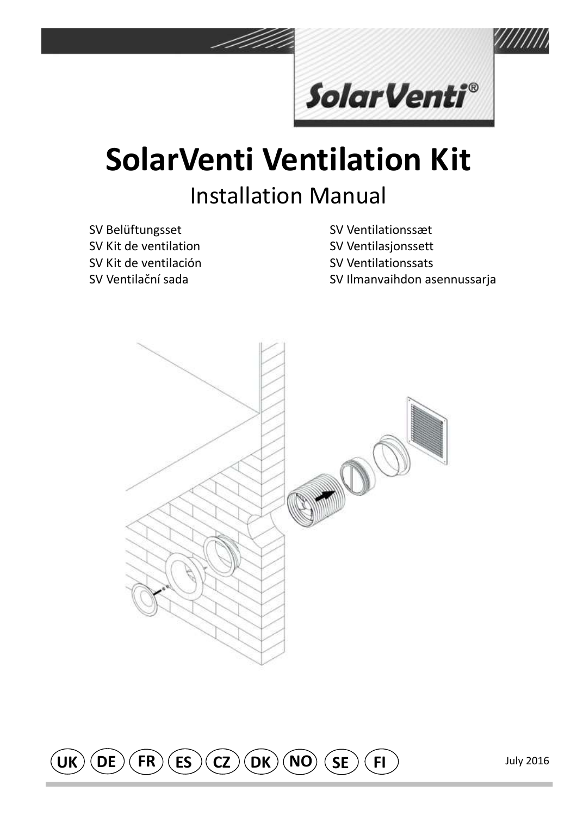

# **SolarVenti Ventilation Kit Installation Manual**

SV Belüftungsset SV Kit de ventilation SV Kit de ventilación SV Ventilační sada

SV Ventilationssæt

SV Ventilasjonssett

SV Ventilationssats

SV Ilmanvaihdon asennussarja



 $(ES)$  $(DK)(NO)$  $\mathsf{C}(\mathsf{CZ})$  $(SE)$  $UK)$  $(DE)$  $(FR)$  $($  FI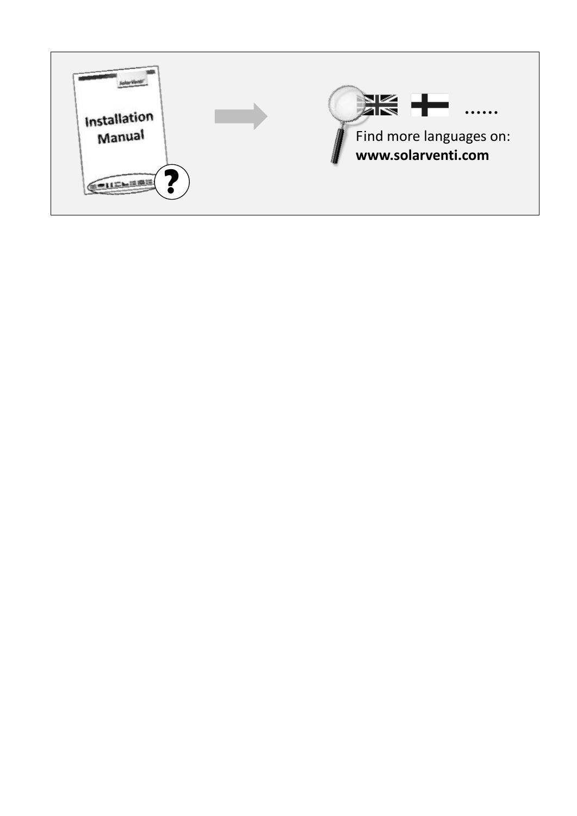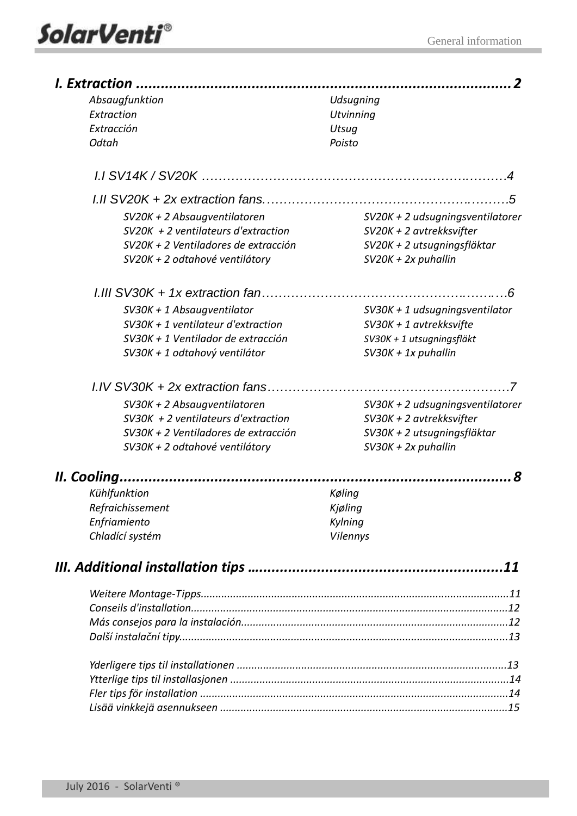

| I. Extraction    |                                       |                                  |  |
|------------------|---------------------------------------|----------------------------------|--|
| Absaugfunktion   |                                       | Udsugning                        |  |
| Extraction       |                                       | <b>Utvinning</b>                 |  |
| Extracción       |                                       | Utsug                            |  |
| Odtah            |                                       | Poisto                           |  |
| 1.1 SV14K/SV20K  |                                       |                                  |  |
|                  | $1.11$ SV20K + 2x extraction fans.    | .5                               |  |
|                  | SV20K + 2 Absaugventilatoren          | SV20K + 2 udsugningsventilatorer |  |
|                  | $SV20K + 2$ ventilateurs d'extraction | SV20K + 2 avtrekksvifter         |  |
|                  | SV20K + 2 Ventiladores de extracción  | SV20K + 2 utsugningsfläktar      |  |
|                  | SV20K + 2 odtahové ventilátory        | $SV20K + 2x$ puhallin            |  |
|                  | $1.111$ SV30K + 1x extraction fan     |                                  |  |
|                  | SV30K + 1 Absaugventilator            | SV30K + 1 udsugningsventilator   |  |
|                  | $SV30K + 1$ ventilateur d'extraction  | $SV30K + 1$ avtrekksvifte        |  |
|                  | SV30K + 1 Ventilador de extracción    | SV30K + 1 utsugningsfläkt        |  |
|                  | SV30K + 1 odtahový ventilátor         | $SV30K + 1x$ puhallin            |  |
|                  | I.IV SV30K + 2x extraction fans       |                                  |  |
|                  | SV30K + 2 Absaugventilatoren          | SV30K + 2 udsugningsventilatorer |  |
|                  | $SV30K + 2$ ventilateurs d'extraction | SV30K + 2 avtrekksvifter         |  |
|                  | SV30K + 2 Ventiladores de extracción  | SV30K + 2 utsugningsfläktar      |  |
|                  | SV30K + 2 odtahové ventilátory        | $SV30K + 2x$ puhallin            |  |
| II. Cooling      |                                       |                                  |  |
| Kühlfunktion     |                                       | Køling                           |  |
| Refraichissement |                                       | Kiøling                          |  |
| Enfriamiento     |                                       | Kylning                          |  |
| Chladící systém  |                                       | <b>Vilennys</b>                  |  |
|                  |                                       |                                  |  |
|                  |                                       |                                  |  |
|                  |                                       |                                  |  |
|                  |                                       |                                  |  |
|                  |                                       |                                  |  |
|                  |                                       |                                  |  |
|                  |                                       |                                  |  |
|                  |                                       |                                  |  |
|                  |                                       |                                  |  |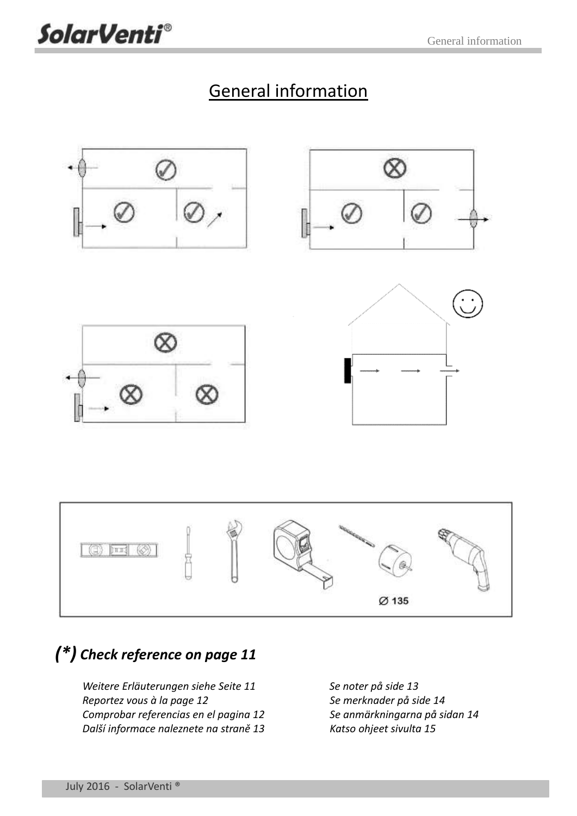

### *(\*) [Check reference on page 11](#page-14-0)*

*[Weitere Erläuterungen siehe Seite 11](#page-14-1) [Se noter på side 13](#page-16-1) [Reportez vous à la page 12](#page-15-0) [Se merknader på side 14](#page-17-0) [Comprobar referencias en el pagina 12](#page-15-1) [Se anmärkningarna på sidan 14](#page-17-1) Další informace [naleznete na straně](#page-16-0) 13 [Katso ohjeet sivulta 15](#page-18-0)*

**SolarVenti®**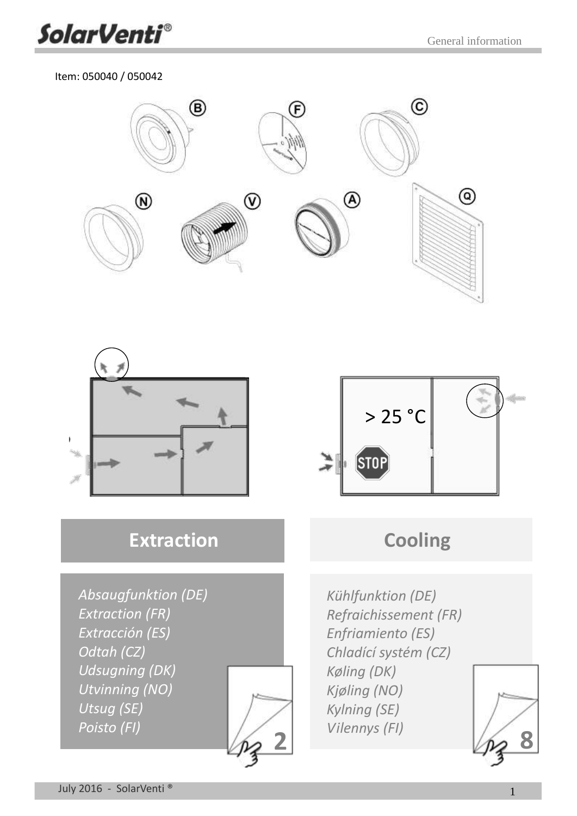

#### Item: 050040 / 050042





### **[Extraction](#page-5-0)**

*[Absaugfunktion](#page-5-0) (DE) [Extraction \(FR\)](#page-5-0) [Extracción \(ES\)](#page-5-0) [Odtah \(CZ\)](#page-5-0) [Udsugning \(DK\)](#page-5-0) [Utvinning](#page-5-0) (NO) [Utsug \(SE\)](#page-5-0) [Poisto \(FI\)](#page-5-0)*





### **[Cooling](#page-11-0)**

*[Kühlfunktion \(DE\)](#page-11-0) [Refraichissement \(FR\)](#page-11-0) [Enfriamiento \(ES\)](#page-11-0) [Chladící systém \(CZ\)](#page-11-0) [Køling \(DK\)](#page-11-0) [Kjøling](#page-11-0) (NO) [Kylning](#page-11-0) (SE)*

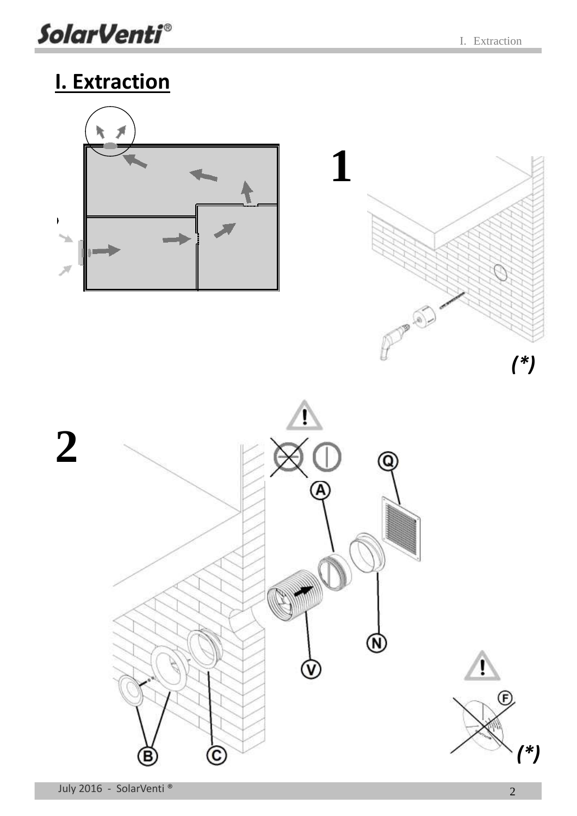**SolarVenti®** 

## <span id="page-5-0"></span>**I. Extraction**

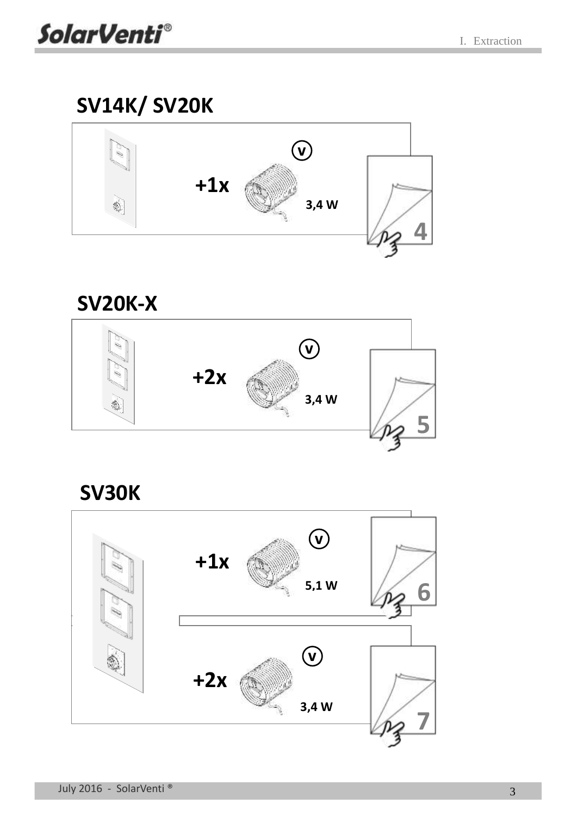### **[SV14K/ SV20K](#page-7-0)**



## **[SV20K-X](#page-8-0) v +2x 3,4 W [5](#page-8-0)**  $\frac{1}{3}$

**SV30K**

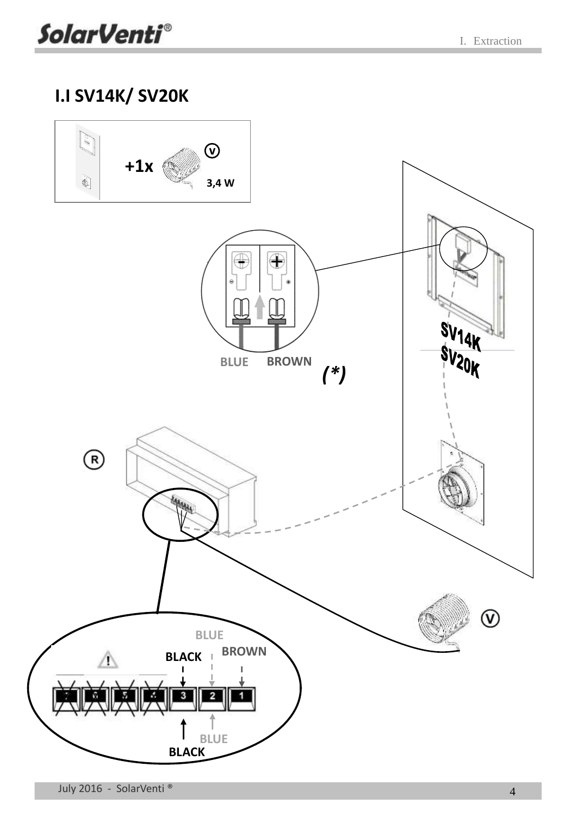### <span id="page-7-0"></span>**I.I SV14K/ SV20K**

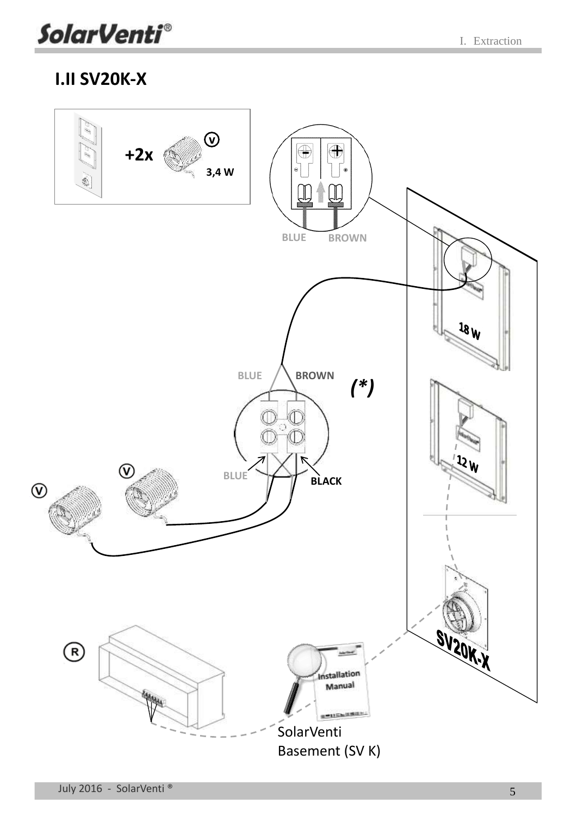### <span id="page-8-0"></span>**I.II SV20K-X**

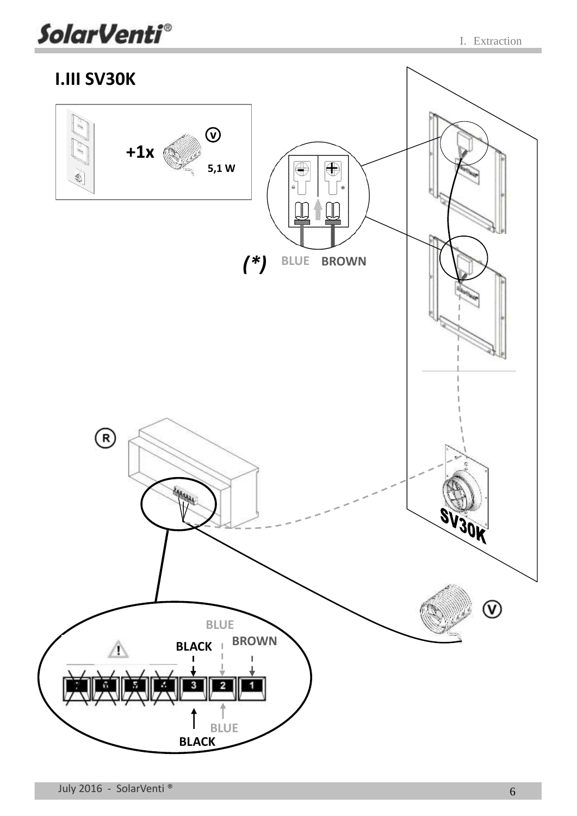

<span id="page-9-0"></span>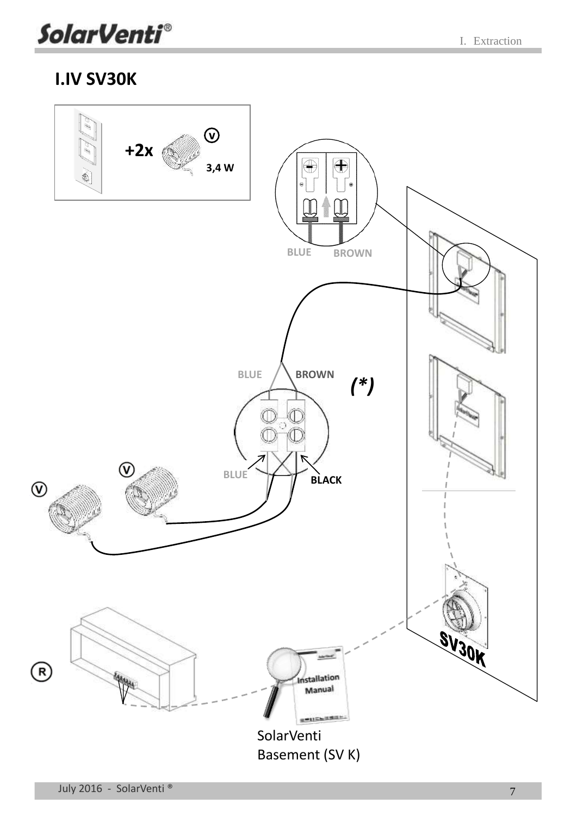

### <span id="page-10-0"></span>**I.IV SV30K**

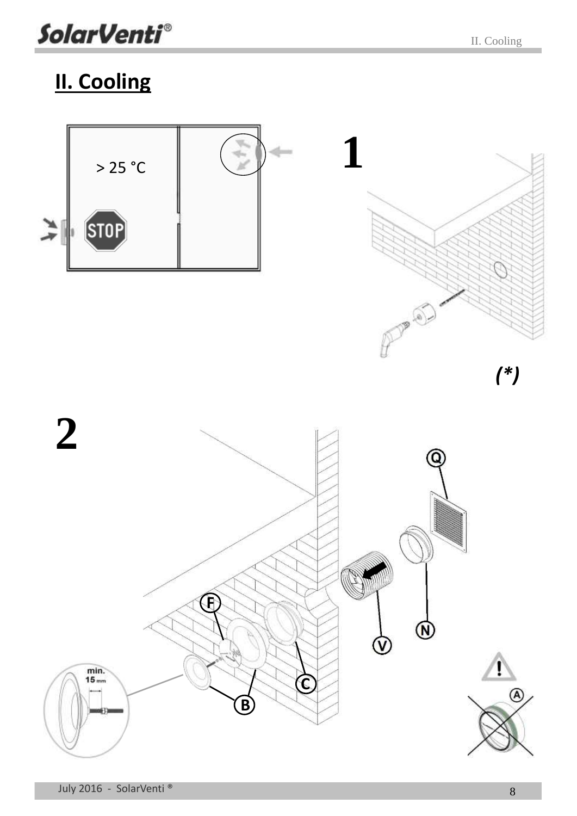**SolarVenti®** 

## <span id="page-11-0"></span>**II. Cooling**

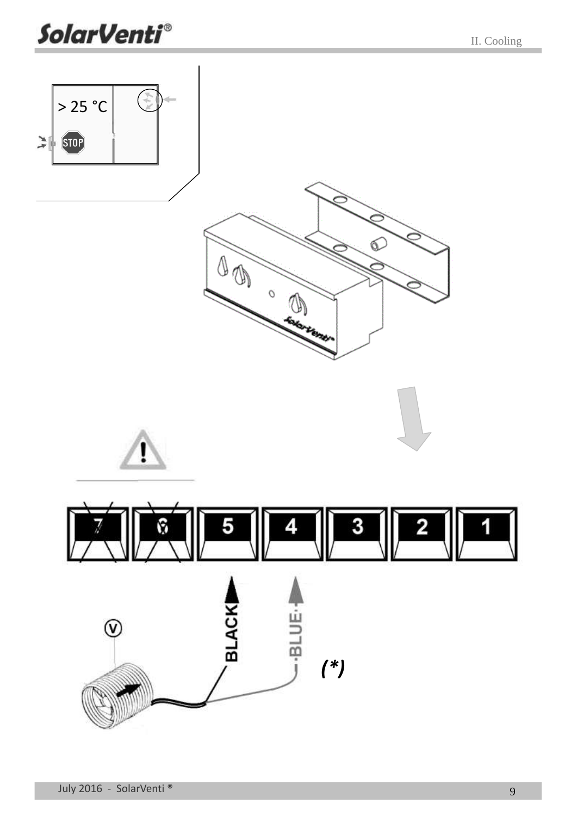**SolarVenti®** 

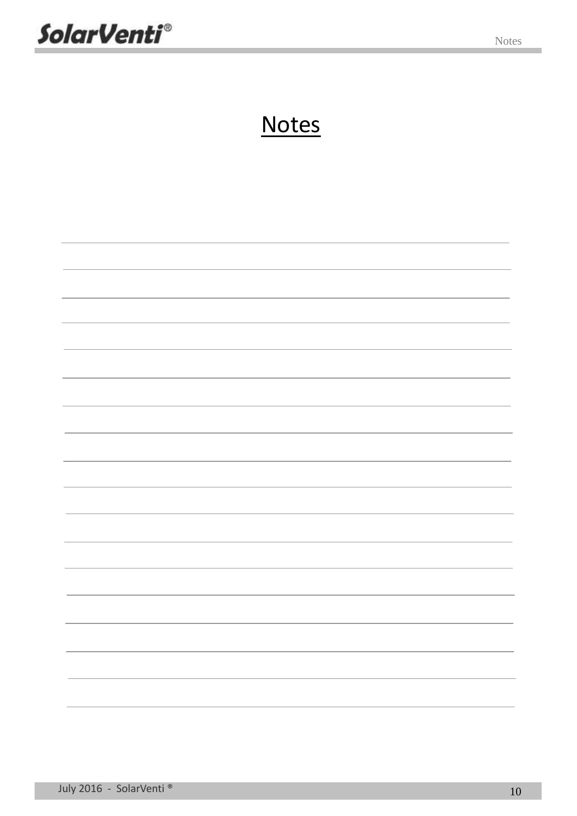**SolarVenti®** 

## **Notes**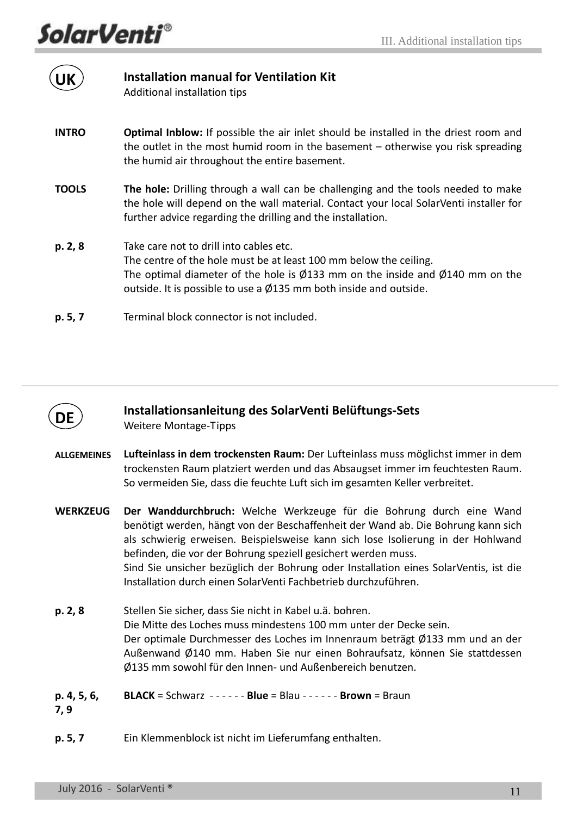**SolarVenti®** 

<span id="page-14-0"></span>

| <b>UK</b>    | <b>Installation manual for Ventilation Kit</b><br>Additional installation tips                                                                                                                                                                                                                         |
|--------------|--------------------------------------------------------------------------------------------------------------------------------------------------------------------------------------------------------------------------------------------------------------------------------------------------------|
| <b>INTRO</b> | <b>Optimal Inblow:</b> If possible the air inlet should be installed in the driest room and<br>the outlet in the most humid room in the basement $-$ otherwise you risk spreading<br>the humid air throughout the entire basement.                                                                     |
| <b>TOOLS</b> | The hole: Drilling through a wall can be challenging and the tools needed to make<br>the hole will depend on the wall material. Contact your local SolarVenti installer for<br>further advice regarding the drilling and the installation.                                                             |
| p. 2, 8      | Take care not to drill into cables etc.<br>The centre of the hole must be at least 100 mm below the ceiling.<br>The optimal diameter of the hole is $\varnothing$ 133 mm on the inside and $\varnothing$ 140 mm on the<br>outside. It is possible to use a $\emptyset$ 135 mm both inside and outside. |
| p.5.7        | Terminal block connector is not included.                                                                                                                                                                                                                                                              |



#### **Installationsanleitung des SolarVenti Belüftungs-Sets**

<span id="page-14-1"></span>Weitere Montage-Tipps

- **ALLGEMEINES Lufteinlass in dem trockensten Raum:** Der Lufteinlass muss möglichst immer in dem trockensten Raum platziert werden und das Absaugset immer im feuchtesten Raum. So vermeiden Sie, dass die feuchte Luft sich im gesamten Keller verbreitet.
- **WERKZEUG Der Wanddurchbruch:** Welche Werkzeuge für die Bohrung durch eine Wand benötigt werden, hängt von der Beschaffenheit der Wand ab. Die Bohrung kann sich als schwierig erweisen. Beispielsweise kann sich lose Isolierung in der Hohlwand befinden, die vor der Bohrung speziell gesichert werden muss. Sind Sie unsicher bezüglich der Bohrung oder Installation eines SolarVentis, ist die Installation durch einen SolarVenti Fachbetrieb durchzuführen.
- **p. 2, 8** Stellen Sie sicher, dass Sie nicht in Kabel u.ä. bohren. Die Mitte des Loches muss mindestens 100 mm unter der Decke sein. Der optimale Durchmesser des Loches im Innenraum beträgt Ø133 mm und an der Außenwand Ø140 mm. Haben Sie nur einen Bohraufsatz, können Sie stattdessen Ø135 mm sowohl für den Innen- und Außenbereich benutzen.
- **p. 4, 5, 6, BLACK** = Schwarz - - - - - - **Blue** = Blau - - - - - - **Brown** = Braun
- **7, 9**
- **p. 5, 7** Ein Klemmenblock ist nicht im Lieferumfang enthalten.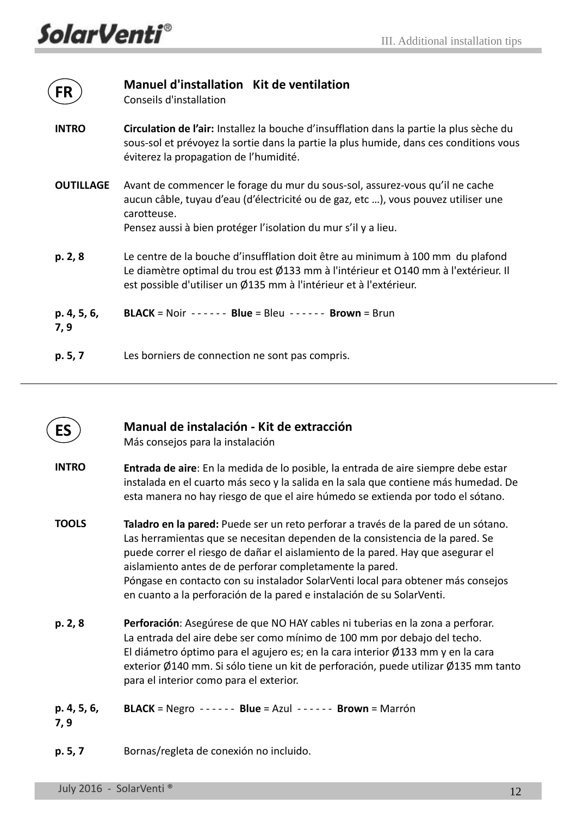<span id="page-15-0"></span>

| <b>FR</b>           | Manuel d'installation Kit de ventilation<br>Conseils d'installation                                                                                                                                                                                 |  |
|---------------------|-----------------------------------------------------------------------------------------------------------------------------------------------------------------------------------------------------------------------------------------------------|--|
| <b>INTRO</b>        | Circulation de l'air: Installez la bouche d'insufflation dans la partie la plus sèche du<br>sous-sol et prévoyez la sortie dans la partie la plus humide, dans ces conditions vous<br>éviterez la propagation de l'humidité.                        |  |
| <b>OUTILLAGE</b>    | Avant de commencer le forage du mur du sous-sol, assurez-vous qu'il ne cache<br>aucun câble, tuyau d'eau (d'électricité ou de gaz, etc ), vous pouvez utiliser une<br>carotteuse.<br>Pensez aussi à bien protéger l'isolation du mur s'il y a lieu. |  |
| p. 2, 8             | Le centre de la bouche d'insufflation doit être au minimum à 100 mm du plafond<br>Le diamètre optimal du trou est Ø133 mm à l'intérieur et 0140 mm à l'extérieur. Il<br>est possible d'utiliser un Ø135 mm à l'intérieur et à l'extérieur.          |  |
| p. 4, 5, 6,<br>7, 9 | <b>BLACK</b> = Noir ------ Blue = Bleu ------ Brown = Brun                                                                                                                                                                                          |  |
| p. 5, 7             | Les borniers de connection ne sont pas compris.                                                                                                                                                                                                     |  |

<span id="page-15-1"></span>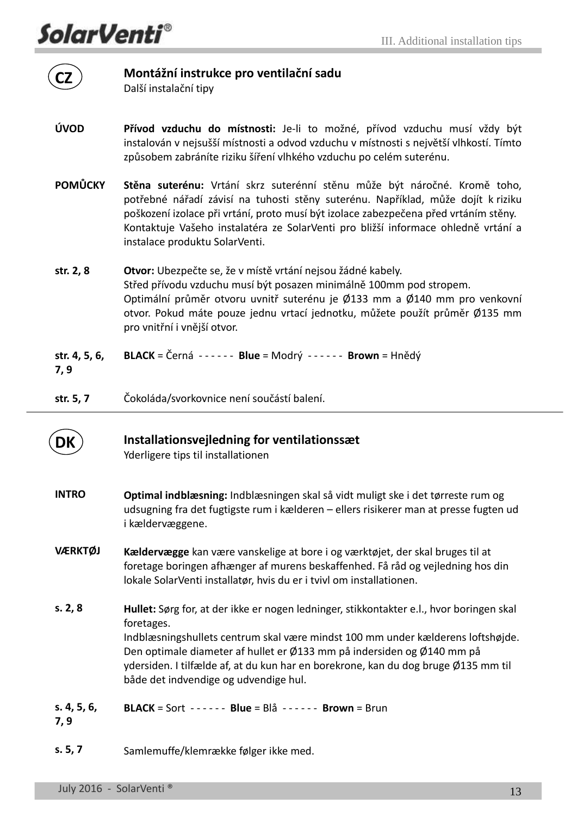*SolarVenti®* 

**CZ**

#### **Montážní instrukce pro ventilační sadu**

<span id="page-16-0"></span>Další instalační tipy

- **ÚVOD Přívod vzduchu do místnosti:** Je-li to možné, přívod vzduchu musí vždy být instalován v nejsušší místnosti a odvod vzduchu v místnosti s největší vlhkostí. Tímto způsobem zabráníte riziku šíření vlhkého vzduchu po celém suterénu.
- **POMŮCKY Stěna suterénu:** Vrtání skrz suterénní stěnu může být náročné. Kromě toho, potřebné nářadí závisí na tuhosti stěny suterénu. Například, může dojít k riziku poškození izolace při vrtání, proto musí být izolace zabezpečena před vrtáním stěny. Kontaktuje Vašeho instalatéra ze SolarVenti pro bližší informace ohledně vrtání a instalace produktu SolarVenti.
- **str. 2, 8 Otvor:** Ubezpečte se, že v místě vrtání nejsou žádné kabely. Střed přívodu vzduchu musí být posazen minimálně 100mm pod stropem. Optimální průměr otvoru uvnitř suterénu je Ø133 mm a Ø140 mm pro venkovní otvor. Pokud máte pouze jednu vrtací jednotku, můžete použít průměr Ø135 mm pro vnitřní i vnější otvor.
- **str. 4, 5, 6, BLACK** = Černá - - - - - - **Blue** = Modrý - - - - - - **Brown** = Hnědý
- **7, 9**

**str. 5, 7**

Čokoláda/svorkovnice není součástí balení.



#### **Installationsvejledning for ventilationssæt**

<span id="page-16-1"></span>Yderligere tips til installationen

- **INTRO Optimal indblæsning:** Indblæsningen skal så vidt muligt ske i det tørreste rum og udsugning fra det fugtigste rum i kælderen – ellers risikerer man at presse fugten ud i kældervæggene.
- **VÆRKTØJ Kældervægge** kan være vanskelige at bore i og værktøjet, der skal bruges til at foretage boringen afhænger af murens beskaffenhed. Få råd og vejledning hos din lokale SolarVenti installatør, hvis du er i tvivl om installationen.
- **s. 2, 8 Hullet:** Sørg for, at der ikke er nogen ledninger, stikkontakter e.l., hvor boringen skal foretages. Indblæsningshullets centrum skal være mindst 100 mm under kælderens loftshøjde. Den optimale diameter af hullet er Ø133 mm på indersiden og Ø140 mm på ydersiden. I tilfælde af, at du kun har en borekrone, kan du dog bruge Ø135 mm til både det indvendige og udvendige hul.

**s. 4, 5, 6, 7, 9 BLACK** = Sort - - - - - - **Blue** = Blå - - - - - - **Brown** = Brun

**s. 5, 7** Samlemuffe/klemrække følger ikke med.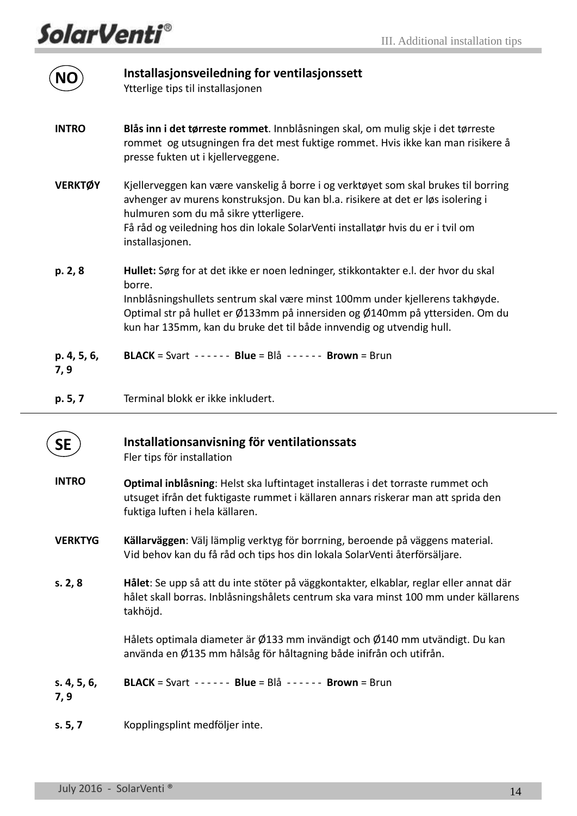**SolarVenti®** 

<span id="page-17-1"></span><span id="page-17-0"></span>

|                     | Installasjonsveiledning for ventilasjonssett<br>Ytterlige tips til installasjonen                                                                                                                                                                                                                                                     |
|---------------------|---------------------------------------------------------------------------------------------------------------------------------------------------------------------------------------------------------------------------------------------------------------------------------------------------------------------------------------|
| <b>INTRO</b>        | Blås inn i det tørreste rommet. Innblåsningen skal, om mulig skje i det tørreste<br>rommet og utsugningen fra det mest fuktige rommet. Hvis ikke kan man risikere å<br>presse fukten ut i kjellerveggene.                                                                                                                             |
| <b>VERKTØY</b>      | Kjellerveggen kan være vanskelig å borre i og verktøyet som skal brukes til borring<br>avhenger av murens konstruksjon. Du kan bl.a. risikere at det er løs isolering i<br>hulmuren som du må sikre ytterligere.<br>Få råd og veiledning hos din lokale SolarVenti installatør hvis du er i tvil om<br>installasjonen.                |
| p. 2, 8             | Hullet: Sørg for at det ikke er noen ledninger, stikkontakter e.l. der hvor du skal<br>borre.<br>Innblåsningshullets sentrum skal være minst 100mm under kjellerens takhøyde.<br>Optimal str på hullet er Ø133mm på innersiden og Ø140mm på yttersiden. Om du<br>kun har 135mm, kan du bruke det til både innvendig og utvendig hull. |
| p. 4, 5, 6,<br>7, 9 | <b>BLACK</b> = Svart $---$ <b>Blue</b> = Blå $---$ <b>Brown</b> = Brun                                                                                                                                                                                                                                                                |
| p. 5, 7             | Terminal blokk er ikke inkludert.                                                                                                                                                                                                                                                                                                     |
| SE                  | Installationsanvisning för ventilationssats<br>Fler tips för installation                                                                                                                                                                                                                                                             |
| <b>INTRO</b>        | Optimal inblåsning: Helst ska luftintaget installeras i det torraste rummet och<br>utsuget ifrån det fuktigaste rummet i källaren annars riskerar man att sprida den<br>fuktiga luften i hela källaren.                                                                                                                               |
| <b>VERKTYG</b>      | Källarväggen: Välj lämplig verktyg för borrning, beroende på väggens material.<br>Vid behov kan du få råd och tips hos din lokala SolarVenti återförsäljare.                                                                                                                                                                          |
| s. 2, 8             | Hålet: Se upp så att du inte stöter på väggkontakter, elkablar, reglar eller annat där<br>hålet skall borras. Inblåsningshålets centrum ska vara minst 100 mm under källarens<br>takhöjd.                                                                                                                                             |
|                     | Hålets optimala diameter är Ø133 mm invändigt och Ø140 mm utvändigt. Du kan<br>använda en Ø135 mm hålsåg för håltagning både inifrån och utifrån.                                                                                                                                                                                     |
| s. 4, 5, 6,<br>7, 9 | BLACK = Svart ------ Blue = Blå ------ Brown = Brun                                                                                                                                                                                                                                                                                   |
| s. 5, 7             | Kopplingsplint medföljer inte.                                                                                                                                                                                                                                                                                                        |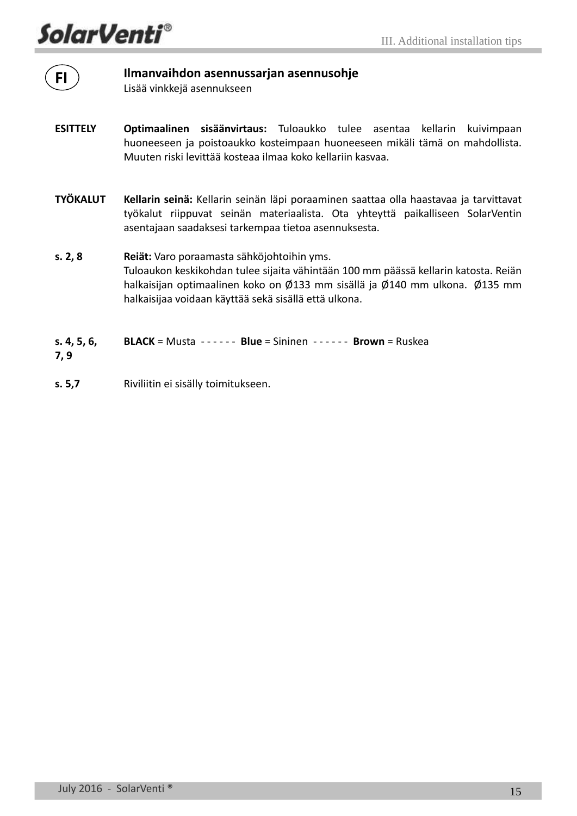**SolarVenti**®

**FI**

#### **Ilmanvaihdon asennussarjan asennusohje**

<span id="page-18-0"></span>Lisää vinkkejä asennukseen

- **ESITTELY Optimaalinen sisäänvirtaus:** Tuloaukko tulee asentaa kellarin kuivimpaan huoneeseen ja poistoaukko kosteimpaan huoneeseen mikäli tämä on mahdollista. Muuten riski levittää kosteaa ilmaa koko kellariin kasvaa.
- **TYÖKALUT Kellarin seinä:** Kellarin seinän läpi poraaminen saattaa olla haastavaa ja tarvittavat työkalut riippuvat seinän materiaalista. Ota yhteyttä paikalliseen SolarVentin asentajaan saadaksesi tarkempaa tietoa asennuksesta.
- **s. 2, 8 Reiät:** Varo poraamasta sähköjohtoihin yms. Tuloaukon keskikohdan tulee sijaita vähintään 100 mm päässä kellarin katosta. Reiän halkaisijan optimaalinen koko on Ø133 mm sisällä ja Ø140 mm ulkona. Ø135 mm halkaisijaa voidaan käyttää sekä sisällä että ulkona.
- **s. 4, 5, 6, BLACK** = Musta - - - - - - **Blue** = Sininen - - - - - - **Brown** = Ruskea
- **7, 9**
- **s. 5,7**  Riviliitin ei sisälly toimitukseen.